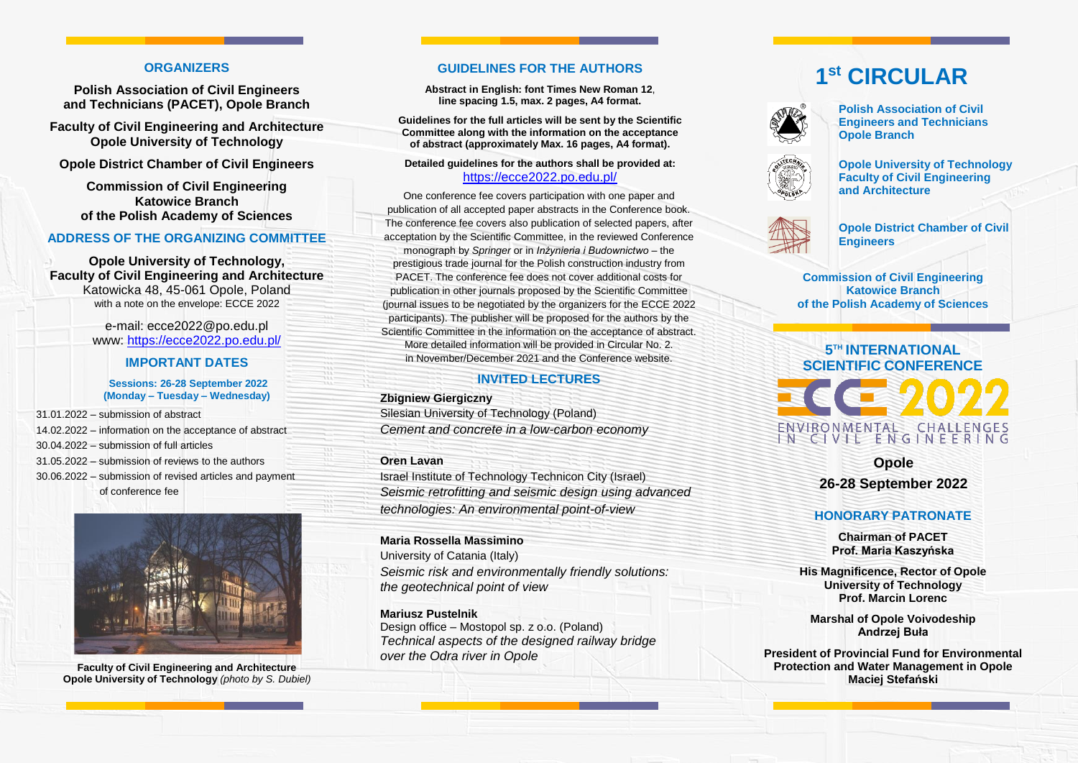# **ORGANIZERS**

**Polish Association of Civil Engineers and Technicians (PACET), Opole Branch**

**Faculty of Civil Engineering and Architecture Opole University of Technology**

**Opole District Chamber of Civil Engineers**

**Commission of Civil Engineering Katowice Branch of the Polish Academy of Sciences** 

# **ADDRESS OF THE ORGANIZING COMMITTEE**

**Opole University of Technology, Faculty of Civil Engineering and Architecture** Katowicka 48, 45-061 Opole, Poland with a note on the envelope: ECCE 2022

> e-mail: ecce2022@po.edu.pl www: <https://ecce2022.po.edu.pl/>

# **IMPORTANT DATES**

**Sessions: 26-28 September 2022 (Monday – Tuesday – Wednesday)**

31.01.2022 – submission of abstract 14.02.2022 – information on the acceptance of abstract 30.04.2022 – submission of full articles 31.05.2022 – submission of reviews to the authors 30.06.2022 – submission of revised articles and payment of conference fee



**Faculty of Civil Engineering and Architecture Opole University of Technology** *(photo by S. Dubiel)*

# **GUIDELINES FOR THE AUTHORS**

**Abstract in English: font Times New Roman 12**, **line spacing 1.5, max. 2 pages, A4 format.**

**Guidelines for the full articles will be sent by the Scientific Committee along with the information on the acceptance of abstract (approximately Max. 16 pages, A4 format).**

**Detailed guidelines for the authors shall be provided at:** https://ecce2022.po.edu.pl/

One conference fee covers participation with one paper and publication of all accepted paper abstracts in the Conference book. The conference fee covers also publication of selected papers, after acceptation by the Scientific Committee, in the reviewed Conference monograph by *Springer* or in *Inżynieria i Budownictwo* – the prestigious trade journal for the Polish construction industry from PACET. The conference fee does not cover additional costs for publication in other journals proposed by the Scientific Committee (journal issues to be negotiated by the organizers for the ECCE 2022 participants). The publisher will be proposed for the authors by the Scientific Committee in the information on the acceptance of abstract. More detailed information will be provided in Circular No. 2. in November/December 2021 and the Conference website.

# **INVITED LECTURES**

#### **Zbigniew Giergiczny**

Cement and concrete in a low-carbon economy Naukowy pracy do druku wybranym pracy do druku w wybranym czasowym wybranym czasowym wybranym czasowym wybrany<br>Wybranym czasowym pracy pracy pracy przy przez przez przez przez przez przez przez przez przez przez przez prz Silesian University of Technology (Poland)

#### przesłania przez autora poprawionego tekstu poprawionego tekstu poprawionego tekstu poprawionego tekstu poprawionego tekstu poprawionego tekstu poprawionego tekstu poprawionego tekstu poprawionego tekstu poprawionego tekst **Oren Lavan**

artykułu zostanie określony przez organizatorów Konferencji. Przez organizatorów Konferencji. Przez organizator Israel Institute of Technology Technicon City (Israel) *Seismic retrofitting and seismic design using advanced technologies: An environmental point-of-view*

#### **Maria Rossella Massimino**

University of Catania (Italy) *Seismic risk and environmentally friendly solutions: the geotechnical point of view*

#### **Mariusz Pustelnik**

Design office – Mostopol sp. z o.o. (Poland) *Technical aspects of the designed railway bridge over the Odra river in Opole*

# **1 st CIRCULAR**



**Polish Association of Civil Engineers and Technicians Opole Branch**



**Opole University of Technology Faculty of Civil Engineering and Architecture**

**Opole District Chamber of Civil Engineers**

**Commission of Civil Engineering Katowice Branch of the Polish Academy of Sciences**

# **5 TH INTERNATIONAL SCIENTIFIC CONFERENCE**

ENVIRONMENTAL CHALLENGES<br>IN CIVIL ENGINEERING

**Opole**

**26-28 September 2022**

# **HONORARY PATRONATE**

**Chairman of PACET Prof. Maria Kaszyńska**

**His Magnificence, Rector of Opole University of Technology Prof. Marcin Lorenc**

**Marshal of Opole Voivodeship Andrzej Buła**

**President of Provincial Fund for Environmental Protection and Water Management in Opole Maciej Stefański**